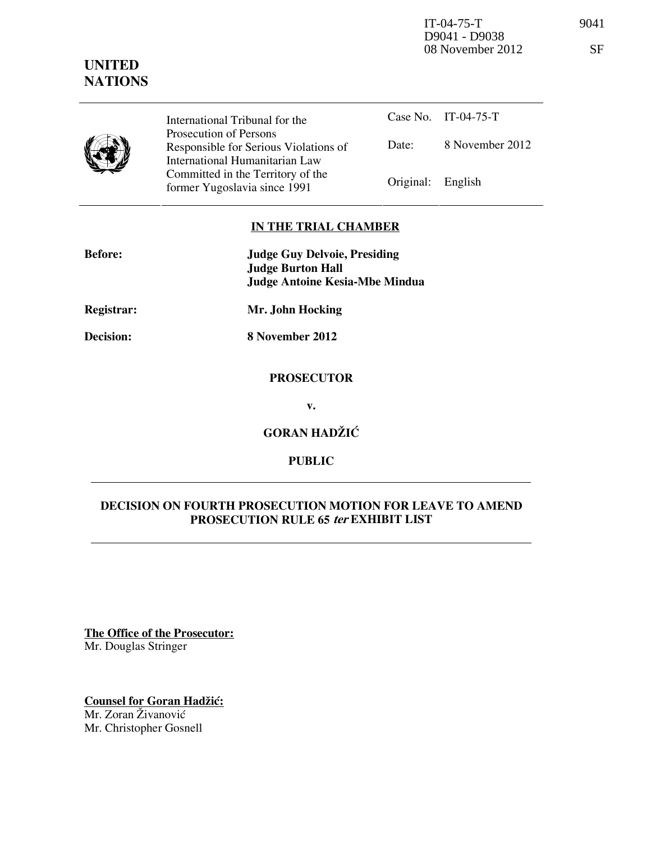IT-04-75-T 9041 08 November 2012 SF

# **UNITED NATIONS**

|  | International T                                                                 |
|--|---------------------------------------------------------------------------------|
|  | Prosecution of                                                                  |
|  | Responsible fo                                                                  |
|  | International H                                                                 |
|  | Committed in                                                                    |
|  | $f_{\alpha\mu\mu\lambda\lambda\sigma}$ V $V_{\alpha\lambda\sigma\lambda\sigma}$ |

Tribunal for the f Persons or Serious Violations of Humanitarian Law the Territory of the Former Yugoslavia since 1991 Original: English

Case No. IT-04-75-T Date: 8 November 2012

### **IN THE TRIAL CHAMBER**

| <b>Before:</b> | <b>Judge Guy Delvoie, Presiding</b><br><b>Judge Burton Hall</b> |
|----------------|-----------------------------------------------------------------|
|                | <b>Judge Antoine Kesia-Mbe Mindua</b>                           |
| Registrar:     | Mr. John Hocking                                                |
| Decision:      | 8 November 2012                                                 |
|                | <b>PROSECUTOR</b>                                               |
|                | v.                                                              |
|                | <b>GORAN HADŽIĆ</b>                                             |

**PUBLIC** 

### **DECISION ON FOURTH PROSECUTION MOTION FOR LEAVE TO AMEND PROSECUTION RULE 65 ter EXHIBIT LIST**

**The Office of the Prosecutor:** Mr. Douglas Stringer

**Counsel for Goran Hadžić:** Mr. Zoran Živanović Mr. Christopher Gosnell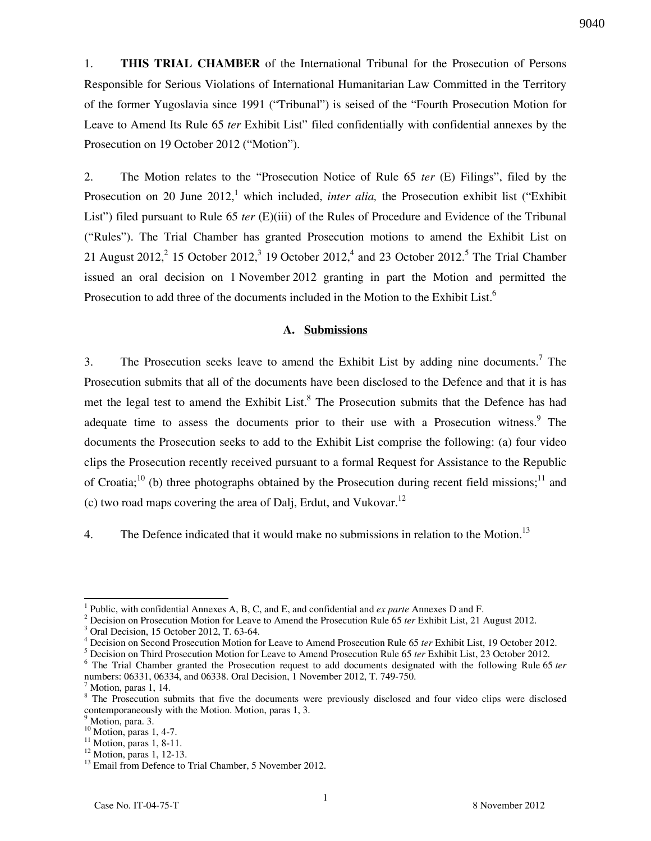1. **THIS TRIAL CHAMBER** of the International Tribunal for the Prosecution of Persons

9040

Responsible for Serious Violations of International Humanitarian Law Committed in the Territory of the former Yugoslavia since 1991 ("Tribunal") is seised of the "Fourth Prosecution Motion for Leave to Amend Its Rule 65 *ter* Exhibit List" filed confidentially with confidential annexes by the Prosecution on 19 October 2012 ("Motion").

2. The Motion relates to the "Prosecution Notice of Rule 65 *ter* (E) Filings", filed by the Prosecution on 20 June 2012,<sup>1</sup> which included, *inter alia*, the Prosecution exhibit list ("Exhibit") List") filed pursuant to Rule 65 *ter* (E)(iii) of the Rules of Procedure and Evidence of the Tribunal ("Rules"). The Trial Chamber has granted Prosecution motions to amend the Exhibit List on 21 August 2012,<sup>2</sup> 15 October 2012,<sup>3</sup> 19 October 2012,<sup>4</sup> and 23 October 2012.<sup>5</sup> The Trial Chamber issued an oral decision on 1 November 2012 granting in part the Motion and permitted the Prosecution to add three of the documents included in the Motion to the Exhibit List.<sup>6</sup>

#### **A. Submissions**

3. The Prosecution seeks leave to amend the Exhibit List by adding nine documents.<sup>7</sup> The Prosecution submits that all of the documents have been disclosed to the Defence and that it is has met the legal test to amend the Exhibit List.<sup>8</sup> The Prosecution submits that the Defence has had adequate time to assess the documents prior to their use with a Prosecution witness.<sup>9</sup> The documents the Prosecution seeks to add to the Exhibit List comprise the following: (a) four video clips the Prosecution recently received pursuant to a formal Request for Assistance to the Republic of Croatia;<sup>10</sup> (b) three photographs obtained by the Prosecution during recent field missions;<sup>11</sup> and (c) two road maps covering the area of Dalj, Erdut, and Vukovar.<sup>12</sup>

4. The Defence indicated that it would make no submissions in relation to the Motion.<sup>13</sup>

 $\overline{a}$ 

<sup>1</sup> Public, with confidential Annexes A, B, C, and E, and confidential and *ex parte* Annexes D and F.

<sup>&</sup>lt;sup>2</sup> Decision on Prosecution Motion for Leave to Amend the Prosecution Rule 65 *ter* Exhibit List, 21 August 2012.

<sup>3</sup> Oral Decision, 15 October 2012, T. 63-64.

<sup>4</sup> Decision on Second Prosecution Motion for Leave to Amend Prosecution Rule 65 *ter* Exhibit List, 19 October 2012.

<sup>5</sup> Decision on Third Prosecution Motion for Leave to Amend Prosecution Rule 65 *ter* Exhibit List, 23 October 2012.

<sup>6</sup> The Trial Chamber granted the Prosecution request to add documents designated with the following Rule 65 *ter* numbers: 06331, 06334, and 06338. Oral Decision, 1 November 2012, T. 749-750.

<sup>7</sup> Motion, paras 1, 14.

<sup>&</sup>lt;sup>8</sup> The Prosecution submits that five the documents were previously disclosed and four video clips were disclosed contemporaneously with the Motion. Motion, paras 1, 3.

<sup>&</sup>lt;sup>9</sup> Motion, para. 3.

 $^{10}$  Motion, paras 1, 4-7.

 $11$  Motion, paras 1, 8-11.

<sup>&</sup>lt;sup>12</sup> Motion, paras 1, 12-13.

<sup>&</sup>lt;sup>13</sup> Email from Defence to Trial Chamber, 5 November 2012.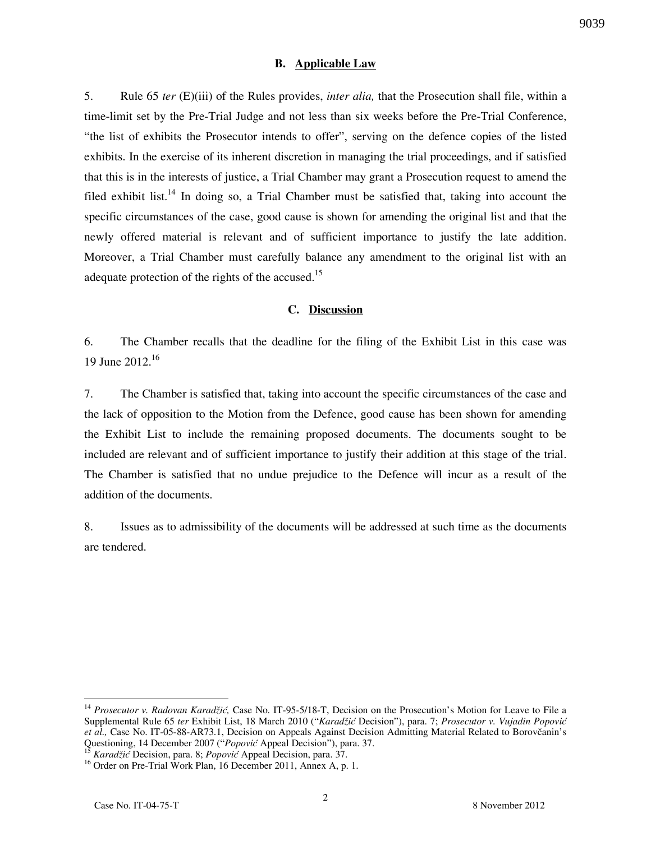#### **B. Applicable Law**

5. Rule 65 *ter* (E)(iii) of the Rules provides, *inter alia,* that the Prosecution shall file, within a time-limit set by the Pre-Trial Judge and not less than six weeks before the Pre-Trial Conference, "the list of exhibits the Prosecutor intends to offer", serving on the defence copies of the listed exhibits. In the exercise of its inherent discretion in managing the trial proceedings, and if satisfied that this is in the interests of justice, a Trial Chamber may grant a Prosecution request to amend the filed exhibit list.<sup>14</sup> In doing so, a Trial Chamber must be satisfied that, taking into account the specific circumstances of the case, good cause is shown for amending the original list and that the newly offered material is relevant and of sufficient importance to justify the late addition. Moreover, a Trial Chamber must carefully balance any amendment to the original list with an adequate protection of the rights of the accused.<sup>15</sup>

### **C. Discussion**

6. The Chamber recalls that the deadline for the filing of the Exhibit List in this case was 19 June 2012.<sup>16</sup>

7. The Chamber is satisfied that, taking into account the specific circumstances of the case and the lack of opposition to the Motion from the Defence, good cause has been shown for amending the Exhibit List to include the remaining proposed documents. The documents sought to be included are relevant and of sufficient importance to justify their addition at this stage of the trial. The Chamber is satisfied that no undue prejudice to the Defence will incur as a result of the addition of the documents.

8. Issues as to admissibility of the documents will be addressed at such time as the documents are tendered.

<sup>15</sup> *Karadžić* Decision, para. 8; *Popović* Appeal Decision, para. 37.

 $\overline{a}$ 

<sup>14</sup> *Prosecutor v. Radovan Karadžić,* Case No. IT-95-5/18-T, Decision on the Prosecution's Motion for Leave to File a Supplemental Rule 65 *ter* Exhibit List, 18 March 2010 ("*Karadžić* Decision"), para. 7; *Prosecutor v. Vujadin Popović et al.,* Case No. IT-05-88-AR73.1, Decision on Appeals Against Decision Admitting Material Related to Borovčanin's Questioning, 14 December 2007 ("*Popović* Appeal Decision"), para. 37.

<sup>&</sup>lt;sup>16</sup> Order on Pre-Trial Work Plan, 16 December 2011, Annex A, p. 1.